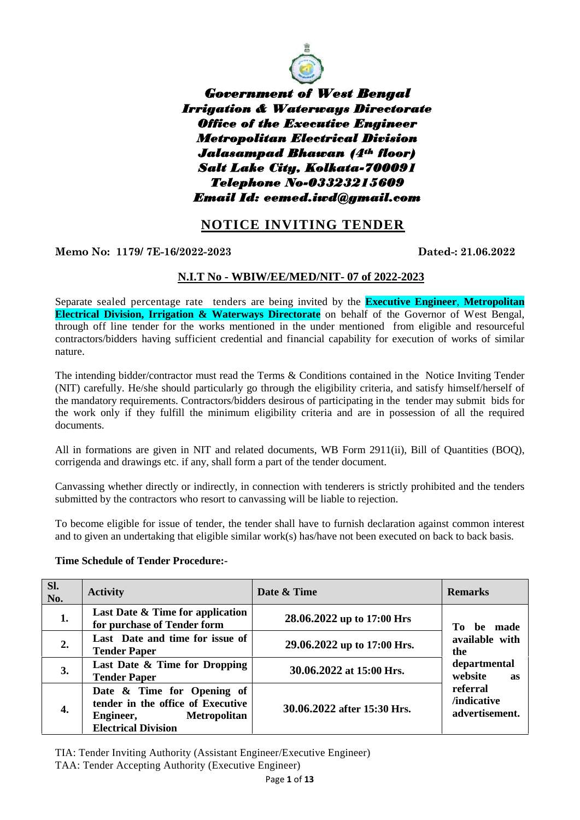

*Government of West Bengal Irrigation & Waterways Directorate Office of the Executive Engineer Metropolitan Electrical Division Jalasampad Bhawan (4th floor) Salt Lake City, Kolkata-700091 Telephone No-03323215609 Email Id: eemed.iwd@gmail.com*

## **NOTICE INVITING TENDER**

**Memo No: 1179/ 7E-16/2022-2023 Dated-: 21.06.2022**

## **N.I.T No - WBIW/EE/MED/NIT- 07 of 2022-2023**

Separate sealed percentage rate tenders are being invited by the **Executive Engineer**, **Metropolitan Electrical Division, Irrigation & Waterways Directorate** on behalf of the Governor of West Bengal, through off line tender for the works mentioned in the under mentioned from eligible and resourceful contractors/bidders having sufficient credential and financial capability for execution of works of similar nature.

The intending bidder/contractor must read the Terms & Conditions contained in the Notice Inviting Tender (NIT) carefully. He/she should particularly go through the eligibility criteria, and satisfy himself/herself of the mandatory requirements. Contractors/bidders desirous of participating in the tender may submit bids for the work only if they fulfill the minimum eligibility criteria and are in possession of all the required documents.

All in formations are given in NIT and related documents, WB Form 2911(ii), Bill of Quantities (BOQ), corrigenda and drawings etc. if any, shall form a part of the tender document.

Canvassing whether directly or indirectly, in connection with tenderers is strictly prohibited and the tenders submitted by the contractors who resort to canvassing will be liable to rejection.

To become eligible for issue of tender, the tender shall have to furnish declaration against common interest and to given an undertaking that eligible similar work(s) has/have not been executed on back to back basis.

#### **Time Schedule of Tender Procedure:-**

| SI.<br>No. | <b>Activity</b>                                                                                                                   | Date & Time                 | <b>Remarks</b>                                         |  |
|------------|-----------------------------------------------------------------------------------------------------------------------------------|-----------------------------|--------------------------------------------------------|--|
| 1.         | Last Date & Time for application<br>for purchase of Tender form                                                                   | 28.06.2022 up to 17:00 Hrs  | be made<br>To -                                        |  |
| 2.         | Last Date and time for issue of<br><b>Tender Paper</b>                                                                            | 29.06.2022 up to 17:00 Hrs. | available with<br>the<br>departmental<br>website<br>as |  |
| 3.         | Last Date & Time for Dropping<br><b>Tender Paper</b>                                                                              | 30.06.2022 at 15:00 Hrs.    |                                                        |  |
| 4.         | Date & Time for Opening of<br>tender in the office of Executive<br><b>Metropolitan</b><br>Engineer,<br><b>Electrical Division</b> | 30.06.2022 after 15:30 Hrs. | referral<br>/indicative<br>advertisement.              |  |

TIA: Tender Inviting Authority (Assistant Engineer/Executive Engineer) TAA: Tender Accepting Authority (Executive Engineer)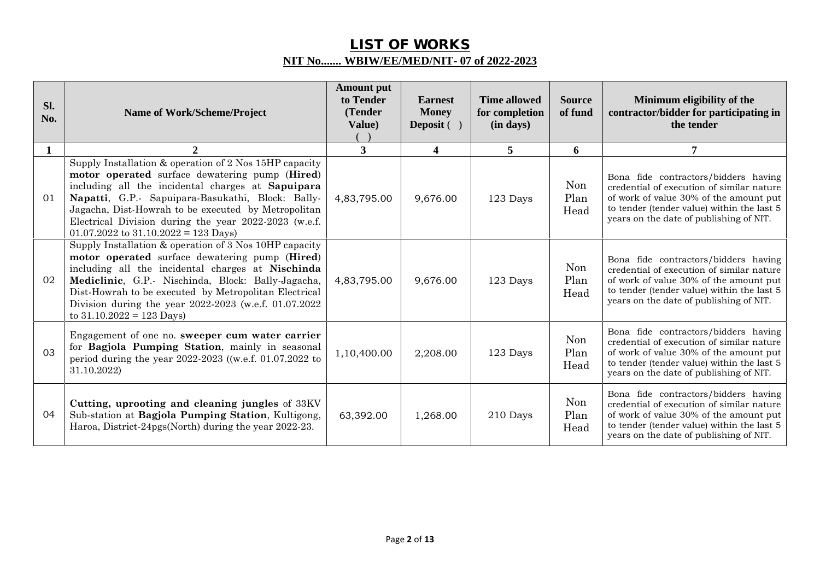# **LIST OF WORKS NIT No....... WBIW/EE/MED/NIT- 07 of 2022-2023**

| Sl.<br>No. | Name of Work/Scheme/Project                                                                                                                                                                                                                                                                                                                                                    | <b>Amount put</b><br>to Tender<br>(Tender<br>Value) | <b>Earnest</b><br><b>Money</b><br>Deposit $( )$ | <b>Time allowed</b><br>for completion<br>(in days) | <b>Source</b><br>of fund | Minimum eligibility of the<br>contractor/bidder for participating in<br>the tender                                                                                                                                   |
|------------|--------------------------------------------------------------------------------------------------------------------------------------------------------------------------------------------------------------------------------------------------------------------------------------------------------------------------------------------------------------------------------|-----------------------------------------------------|-------------------------------------------------|----------------------------------------------------|--------------------------|----------------------------------------------------------------------------------------------------------------------------------------------------------------------------------------------------------------------|
| 1          | $\mathbf{2}$                                                                                                                                                                                                                                                                                                                                                                   | $\overline{3}$                                      | $\overline{\mathbf{4}}$                         | 5                                                  | 6                        | $\overline{7}$                                                                                                                                                                                                       |
| 01         | Supply Installation & operation of 2 Nos 15HP capacity<br>motor operated surface dewatering pump (Hired)<br>including all the incidental charges at Sapuipara<br>Napatti, G.P.- Sapuipara-Basukathi, Block: Bally-<br>Jagacha, Dist-Howrah to be executed by Metropolitan<br>Electrical Division during the year 2022-2023 (w.e.f.<br>$01.07.2022$ to $31.10.2022 = 123$ Days) | 4,83,795.00                                         | 9,676.00                                        | 123 Days                                           | Non<br>Plan<br>Head      | Bona fide contractors/bidders having<br>credential of execution of similar nature<br>of work of value 30% of the amount put<br>to tender (tender value) within the last 5<br>years on the date of publishing of NIT. |
| 02         | Supply Installation & operation of 3 Nos 10HP capacity<br>motor operated surface dewatering pump (Hired)<br>including all the incidental charges at Nischinda<br>Mediclinic, G.P.- Nischinda, Block: Bally-Jagacha,<br>Dist-Howrah to be executed by Metropolitan Electrical<br>Division during the year 2022-2023 (w.e.f. 01.07.2022<br>to $31.10.2022 = 123$ Days)           | 4,83,795.00                                         | 9,676.00                                        | 123 Days                                           | Non<br>Plan<br>Head      | Bona fide contractors/bidders having<br>credential of execution of similar nature<br>of work of value 30% of the amount put<br>to tender (tender value) within the last 5<br>years on the date of publishing of NIT. |
| 03         | Engagement of one no. sweeper cum water carrier<br>for Bagjola Pumping Station, mainly in seasonal<br>period during the year 2022-2023 ((w.e.f. 01.07.2022 to<br>31.10.2022)                                                                                                                                                                                                   | 1,10,400.00                                         | 2,208.00                                        | 123 Days                                           | Non<br>Plan<br>Head      | Bona fide contractors/bidders having<br>credential of execution of similar nature<br>of work of value 30% of the amount put<br>to tender (tender value) within the last 5<br>years on the date of publishing of NIT. |
| 04         | Cutting, uprooting and cleaning jungles of 33KV<br>Sub-station at Bagjola Pumping Station, Kultigong,<br>Haroa, District-24pgs(North) during the year 2022-23.                                                                                                                                                                                                                 | 63,392.00                                           | 1,268.00                                        | 210 Days                                           | Non<br>Plan<br>Head      | Bona fide contractors/bidders having<br>credential of execution of similar nature<br>of work of value 30% of the amount put<br>to tender (tender value) within the last 5<br>years on the date of publishing of NIT. |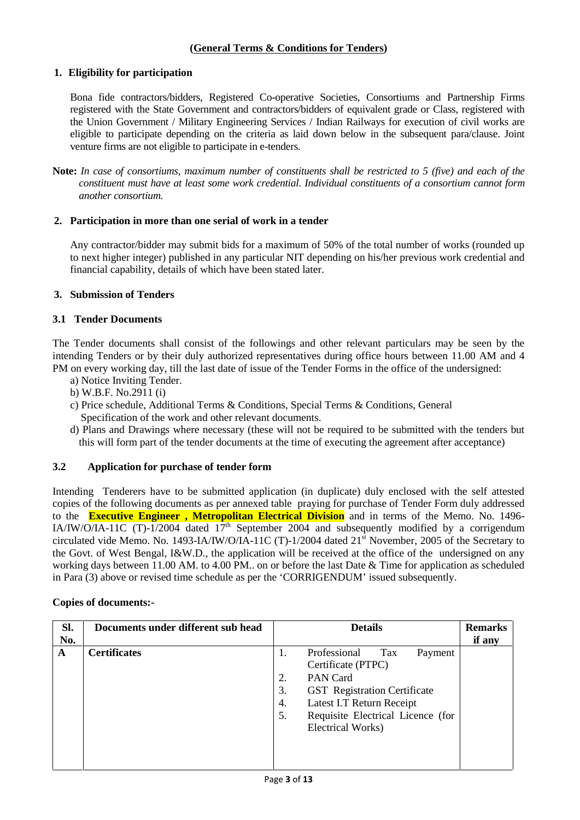## **(General Terms & Conditions for Tenders)**

#### **1. Eligibility for participation**

Bona fide contractors/bidders, Registered Co-operative Societies, Consortiums and Partnership Firms registered with the State Government and contractors/bidders of equivalent grade or Class, registered with the Union Government / Military Engineering Services / Indian Railways for execution of civil works are eligible to participate depending on the criteria as laid down below in the subsequent para/clause. Joint venture firms are not eligible to participate in e-tenders.

**Note:** *In case of consortiums, maximum number of constituents shall be restricted to 5 (five) and each of the constituent must have at least some work credential. Individual constituents of a consortium cannot form another consortium.*

#### **2. Participation in more than one serial of work in a tender**

Any contractor/bidder may submit bids for a maximum of 50% of the total number of works (rounded up to next higher integer) published in any particular NIT depending on his/her previous work credential and financial capability, details of which have been stated later.

### **3. Submission of Tenders**

### **3.1 Tender Documents**

The Tender documents shall consist of the followings and other relevant particulars may be seen by the intending Tenders or by their duly authorized representatives during office hours between 11.00 AM and 4 PM on every working day, till the last date of issue of the Tender Forms in the office of the undersigned:

- a) Notice Inviting Tender.
- b) W.B.F. No.2911 (i)
- c) Price schedule, Additional Terms & Conditions, Special Terms & Conditions, General Specification of the work and other relevant documents.
- d) Plans and Drawings where necessary (these will not be required to be submitted with the tenders but this will form part of the tender documents at the time of executing the agreement after acceptance)

## **3.2 Application for purchase of tender form**

Intending Tenderers have to be submitted application (in duplicate) duly enclosed with the self attested copies of the following documents as per annexed table praying for purchase of Tender Form duly addressed to the **Executive Engineer , Metropolitan Electrical Division** and in terms of the Memo. No. 1496- IA/IW/O/IA-11C (T)-1/2004 dated  $17<sup>th</sup>$  September 2004 and subsequently modified by a corrigendum circulated vide Memo. No. 1493-IA/IW/O/IA-11C (T)-1/2004 dated  $21<sup>st</sup>$  November, 2005 of the Secretary to the Govt. of West Bengal, I&W.D., the application will be received at the office of the undersigned on any working days between 11.00 AM. to 4.00 PM.. on or before the last Date & Time for application as scheduled in Para (3) above or revised time schedule as per the 'CORRIGENDUM' issued subsequently.

| Sl.<br>No. | Documents under different sub head |                            | <b>Details</b>                                                                                                                                                                                         | <b>Remarks</b><br>if any |
|------------|------------------------------------|----------------------------|--------------------------------------------------------------------------------------------------------------------------------------------------------------------------------------------------------|--------------------------|
| A          | <b>Certificates</b>                | 1.<br>2.<br>3.<br>4.<br>5. | Professional<br>Tax<br>Payment<br>Certificate (PTPC)<br>PAN Card<br><b>GST</b> Registration Certificate<br>Latest I.T Return Receipt<br>Requisite Electrical Licence (for<br><b>Electrical Works</b> ) |                          |

#### **Copies of documents:-**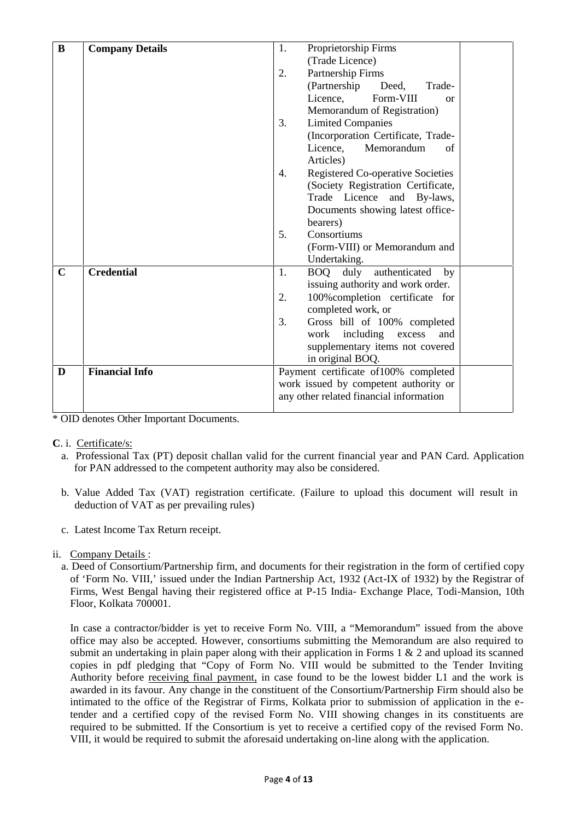| B           | <b>Company Details</b> | Proprietorship Firms<br>1.                                                       |  |
|-------------|------------------------|----------------------------------------------------------------------------------|--|
|             |                        | (Trade Licence)                                                                  |  |
|             |                        | 2.<br>Partnership Firms                                                          |  |
|             |                        | (Partnership)<br>Deed.<br>Trade-                                                 |  |
|             |                        | Licence,<br>Form-VIII<br><sub>or</sub>                                           |  |
|             |                        | Memorandum of Registration)                                                      |  |
|             |                        | 3.<br><b>Limited Companies</b>                                                   |  |
|             |                        | (Incorporation Certificate, Trade-                                               |  |
|             |                        | Memorandum<br>Licence,<br>of                                                     |  |
|             |                        | Articles)                                                                        |  |
|             |                        | <b>Registered Co-operative Societies</b><br>$\overline{4}$ .                     |  |
|             |                        | (Society Registration Certificate,                                               |  |
|             |                        | Trade Licence and By-laws,                                                       |  |
|             |                        | Documents showing latest office-                                                 |  |
|             |                        | bearers)                                                                         |  |
|             |                        | 5.<br>Consortiums                                                                |  |
|             |                        | (Form-VIII) or Memorandum and                                                    |  |
|             |                        | Undertaking.                                                                     |  |
| $\mathbf C$ | <b>Credential</b>      | BOQ duly authenticated<br>1.<br>$_{\rm by}$                                      |  |
|             |                        | issuing authority and work order.                                                |  |
|             |                        | 100% completion certificate for<br>2.                                            |  |
|             |                        | completed work, or                                                               |  |
|             |                        | 3.<br>Gross bill of 100% completed                                               |  |
|             |                        | including<br>excess<br>work<br>and                                               |  |
|             |                        | supplementary items not covered                                                  |  |
|             |                        | in original BOQ.                                                                 |  |
| D           | <b>Financial Info</b>  | Payment certificate of 100% completed                                            |  |
|             |                        | work issued by competent authority or<br>any other related financial information |  |
|             |                        |                                                                                  |  |

\* OID denotes Other Important Documents.

- **C**. i. Certificate/s:
	- a. Professional Tax (PT) deposit challan valid for the current financial year and PAN Card. Application for PAN addressed to the competent authority may also be considered.
	- b. Value Added Tax (VAT) registration certificate. (Failure to upload this document will result in deduction of VAT as per prevailing rules)
	- c. Latest Income Tax Return receipt.
- ii. Company Details :
	- a. Deed of Consortium/Partnership firm, and documents for their registration in the form of certified copy of 'Form No. VIII,' issued under the Indian Partnership Act, 1932 (Act-IX of 1932) by the Registrar of Firms, West Bengal having their registered office at P-15 India- Exchange Place, Todi-Mansion, 10th Floor, Kolkata 700001.

In case a contractor/bidder is yet to receive Form No. VIII, a "Memorandum" issued from the above office may also be accepted. However, consortiums submitting the Memorandum are also required to submit an undertaking in plain paper along with their application in Forms  $1 \& 2$  and upload its scanned copies in pdf pledging that "Copy of Form No. VIII would be submitted to the Tender Inviting Authority before receiving final payment, in case found to be the lowest bidder L1 and the work is awarded in its favour. Any change in the constituent of the Consortium/Partnership Firm should also be intimated to the office of the Registrar of Firms, Kolkata prior to submission of application in the etender and a certified copy of the revised Form No. VIII showing changes in its constituents are required to be submitted. If the Consortium is yet to receive a certified copy of the revised Form No. VIII, it would be required to submit the aforesaid undertaking on-line along with the application.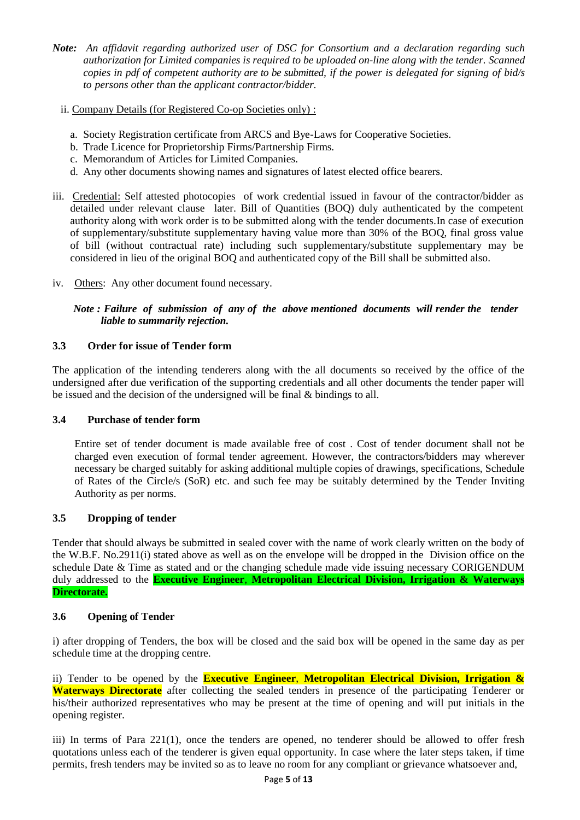- *Note: An affidavit regarding authorized user of DSC for Consortium and a declaration regarding such authorization for Limited companies is required to be uploaded on-line along with the tender. Scanned copies in pdf of competent authority are to be submitted, if the power is delegated for signing of bid/s to persons other than the applicant contractor/bidder.*
	- ii. Company Details (for Registered Co-op Societies only) :
		- a. Society Registration certificate from ARCS and Bye-Laws for Cooperative Societies.
		- b. Trade Licence for Proprietorship Firms/Partnership Firms.
		- c. Memorandum of Articles for Limited Companies.
		- d. Any other documents showing names and signatures of latest elected office bearers.
- iii. Credential: Self attested photocopies of work credential issued in favour of the contractor/bidder as detailed under relevant clause later. Bill of Quantities (BOQ) duly authenticated by the competent authority along with work order is to be submitted along with the tender documents.In case of execution of supplementary/substitute supplementary having value more than 30% of the BOQ, final gross value of bill (without contractual rate) including such supplementary/substitute supplementary may be considered in lieu of the original BOQ and authenticated copy of the Bill shall be submitted also.
- iv. Others: Any other document found necessary.

*Note : Failure of submission of any of the above mentioned documents will render the tender liable to summarily rejection.*

#### **3.3 Order for issue of Tender form**

The application of the intending tenderers along with the all documents so received by the office of the undersigned after due verification of the supporting credentials and all other documents the tender paper will be issued and the decision of the undersigned will be final & bindings to all.

#### **3.4 Purchase of tender form**

Entire set of tender document is made available free of cost . Cost of tender document shall not be charged even execution of formal tender agreement. However, the contractors/bidders may wherever necessary be charged suitably for asking additional multiple copies of drawings, specifications, Schedule of Rates of the Circle/s (SoR) etc. and such fee may be suitably determined by the Tender Inviting Authority as per norms.

#### **3.5 Dropping of tender**

Tender that should always be submitted in sealed cover with the name of work clearly written on the body of the W.B.F. No.2911(i) stated above as well as on the envelope will be dropped in the Division office on the schedule Date & Time as stated and or the changing schedule made vide issuing necessary CORIGENDUM duly addressed to the **Executive Engineer**, **Metropolitan Electrical Division, Irrigation & Waterways Directorate.**

#### **3.6 Opening of Tender**

i) after dropping of Tenders, the box will be closed and the said box will be opened in the same day as per schedule time at the dropping centre.

ii) Tender to be opened by the **Executive Engineer**, **Metropolitan Electrical Division, Irrigation & Waterways Directorate** after collecting the sealed tenders in presence of the participating Tenderer or his/their authorized representatives who may be present at the time of opening and will put initials in the opening register.

iii) In terms of Para 221(1), once the tenders are opened, no tenderer should be allowed to offer fresh quotations unless each of the tenderer is given equal opportunity. In case where the later steps taken, if time permits, fresh tenders may be invited so as to leave no room for any compliant or grievance whatsoever and,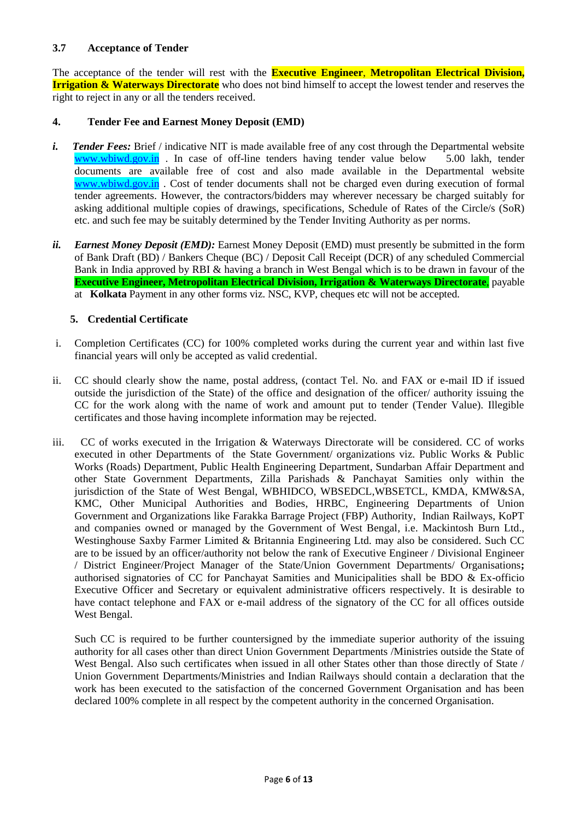### **3.7 Acceptance of Tender**

The acceptance of the tender will rest with the **Executive Engineer**, **Metropolitan Electrical Division, Irrigation & Waterways Directorate** who does not bind himself to accept the lowest tender and reserves the right to reject in any or all the tenders received.

#### **4. Tender Fee and Earnest Money Deposit (EMD)**

- *i. Tender Fees:* Brief / indicative NIT is made available free of any cost through the Departmental website www.wbiwd.gov.in . In case of off-line tenders having tender value below 5.00 lakh, tender documents are available free of cost and also made available in the Departmental website www.wbiwd.gov.in. Cost of tender documents shall not be charged even during execution of formal tender agreements. However, the contractors/bidders may wherever necessary be charged suitably for asking additional multiple copies of drawings, specifications, Schedule of Rates of the Circle/s (SoR) etc. and such fee may be suitably determined by the Tender Inviting Authority as per norms.
- *ii. Earnest Money Deposit (EMD):* Earnest Money Deposit (EMD) must presently be submitted in the form of Bank Draft (BD) / Bankers Cheque (BC) / Deposit Call Receipt (DCR) of any scheduled Commercial Bank in India approved by RBI & having a branch in West Bengal which is to be drawn in favour of the **Executive Engineer, Metropolitan Electrical Division, Irrigation & Waterways Directorate**, payable at **Kolkata** Payment in any other forms viz. NSC, KVP, cheques etc will not be accepted.

### **5. Credential Certificate**

- i. Completion Certificates (CC) for 100% completed works during the current year and within last five financial years will only be accepted as valid credential.
- ii. CC should clearly show the name, postal address, (contact Tel. No. and FAX or e-mail ID if issued outside the jurisdiction of the State) of the office and designation of the officer/ authority issuing the CC for the work along with the name of work and amount put to tender (Tender Value). Illegible certificates and those having incomplete information may be rejected.
- iii. CC of works executed in the Irrigation & Waterways Directorate will be considered. CC of works executed in other Departments of the State Government/ organizations viz. Public Works & Public Works (Roads) Department, Public Health Engineering Department, Sundarban Affair Department and other State Government Departments, Zilla Parishads & Panchayat Samities only within the jurisdiction of the State of West Bengal, WBHIDCO, WBSEDCL,WBSETCL, KMDA, KMW&SA, KMC, Other Municipal Authorities and Bodies, HRBC, Engineering Departments of Union Government and Organizations like Farakka Barrage Project (FBP) Authority, Indian Railways, KoPT and companies owned or managed by the Government of West Bengal, i.e. Mackintosh Burn Ltd., Westinghouse Saxby Farmer Limited & Britannia Engineering Ltd. may also be considered. Such CC are to be issued by an officer/authority not below the rank of Executive Engineer / Divisional Engineer / District Engineer/Project Manager of the State/Union Government Departments/ Organisations**;** authorised signatories of CC for Panchayat Samities and Municipalities shall be BDO & Ex-officio Executive Officer and Secretary or equivalent administrative officers respectively. It is desirable to have contact telephone and FAX or e-mail address of the signatory of the CC for all offices outside West Bengal.

Such CC is required to be further countersigned by the immediate superior authority of the issuing authority for all cases other than direct Union Government Departments /Ministries outside the State of West Bengal. Also such certificates when issued in all other States other than those directly of State / Union Government Departments/Ministries and Indian Railways should contain a declaration that the work has been executed to the satisfaction of the concerned Government Organisation and has been declared 100% complete in all respect by the competent authority in the concerned Organisation.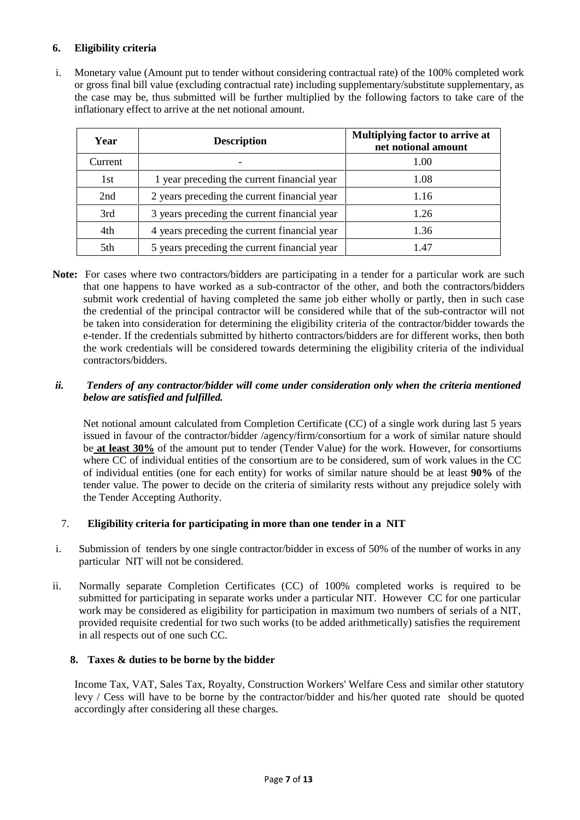## **6. Eligibility criteria**

i. Monetary value (Amount put to tender without considering contractual rate) of the 100% completed work or gross final bill value (excluding contractual rate) including supplementary/substitute supplementary, as the case may be, thus submitted will be further multiplied by the following factors to take care of the inflationary effect to arrive at the net notional amount.

| Year    | <b>Description</b>                           | Multiplying factor to arrive at<br>net notional amount |
|---------|----------------------------------------------|--------------------------------------------------------|
| Current |                                              | 1.00                                                   |
| 1st     | 1 year preceding the current financial year  | 1.08                                                   |
| 2nd     | 2 years preceding the current financial year | 1.16                                                   |
| 3rd     | 3 years preceding the current financial year | 1.26                                                   |
| 4th     | 4 years preceding the current financial year | 1.36                                                   |
| 5th     | 5 years preceding the current financial year | 47                                                     |

**Note:** For cases where two contractors/bidders are participating in a tender for a particular work are such that one happens to have worked as a sub-contractor of the other, and both the contractors/bidders submit work credential of having completed the same job either wholly or partly, then in such case the credential of the principal contractor will be considered while that of the sub-contractor will not be taken into consideration for determining the eligibility criteria of the contractor/bidder towards the e-tender. If the credentials submitted by hitherto contractors/bidders are for different works, then both the work credentials will be considered towards determining the eligibility criteria of the individual contractors/bidders.

#### *ii. Tenders of any contractor/bidder will come under consideration only when the criteria mentioned below are satisfied and fulfilled.*

Net notional amount calculated from Completion Certificate (CC) of a single work during last 5 years issued in favour of the contractor/bidder /agency/firm/consortium for a work of similar nature should be **at least 30%** of the amount put to tender (Tender Value) for the work. However, for consortiums where CC of individual entities of the consortium are to be considered, sum of work values in the CC of individual entities (one for each entity) for works of similar nature should be at least **90%** of the tender value. The power to decide on the criteria of similarity rests without any prejudice solely with the Tender Accepting Authority.

## 7. **Eligibility criteria for participating in more than one tender in a NIT**

- i. Submission of tenders by one single contractor/bidder in excess of 50% of the number of works in any particular NIT will not be considered.
- ii. Normally separate Completion Certificates (CC) of 100% completed works is required to be submitted for participating in separate works under a particular NIT. However CC for one particular work may be considered as eligibility for participation in maximum two numbers of serials of a NIT, provided requisite credential for two such works (to be added arithmetically) satisfies the requirement in all respects out of one such CC.

#### **8. Taxes & duties to be borne by the bidder**

Income Tax, VAT, Sales Tax, Royalty, Construction Workers' Welfare Cess and similar other statutory levy / Cess will have to be borne by the contractor/bidder and his/her quoted rate should be quoted accordingly after considering all these charges.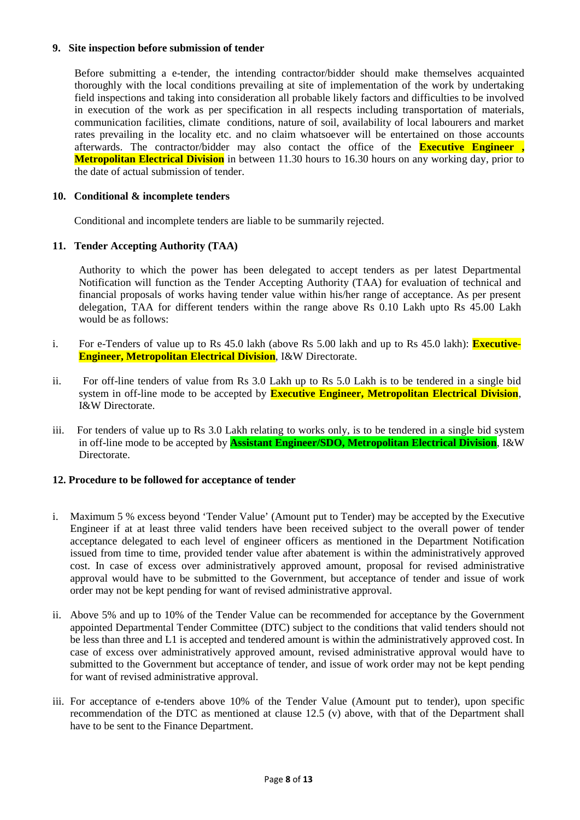#### **9. Site inspection before submission of tender**

Before submitting a e-tender, the intending contractor/bidder should make themselves acquainted thoroughly with the local conditions prevailing at site of implementation of the work by undertaking field inspections and taking into consideration all probable likely factors and difficulties to be involved in execution of the work as per specification in all respects including transportation of materials, communication facilities, climate conditions, nature of soil, availability of local labourers and market rates prevailing in the locality etc. and no claim whatsoever will be entertained on those accounts afterwards. The contractor/bidder may also contact the office of the **Executive Engineer , Metropolitan Electrical Division** in between 11.30 hours to 16.30 hours on any working day, prior to the date of actual submission of tender.

#### **10. Conditional & incomplete tenders**

Conditional and incomplete tenders are liable to be summarily rejected.

### **11. Tender Accepting Authority (TAA)**

Authority to which the power has been delegated to accept tenders as per latest Departmental Notification will function as the Tender Accepting Authority (TAA) for evaluation of technical and financial proposals of works having tender value within his/her range of acceptance. As per present delegation, TAA for different tenders within the range above Rs 0.10 Lakh upto Rs 45.00 Lakh would be as follows:

- i. For e-Tenders of value up to Rs 45.0 lakh (above Rs 5.00 lakh and up to Rs 45.0 lakh): **Executive- Engineer, Metropolitan Electrical Division**, I&W Directorate.
- ii. For off-line tenders of value from Rs 3.0 Lakh up to Rs 5.0 Lakh is to be tendered in a single bid system in off-line mode to be accepted by **Executive Engineer, Metropolitan Electrical Division**, I&W Directorate.
- iii. For tenders of value up to Rs 3.0 Lakh relating to works only, is to be tendered in a single bid system in off-line mode to be accepted by **Assistant Engineer/SDO, Metropolitan Electrical Division**, I&W **Directorate**

#### **12. Procedure to be followed for acceptance of tender**

- i. Maximum 5 % excess beyond 'Tender Value' (Amount put to Tender) may be accepted by the Executive Engineer if at at least three valid tenders have been received subject to the overall power of tender acceptance delegated to each level of engineer officers as mentioned in the Department Notification issued from time to time, provided tender value after abatement is within the administratively approved cost. In case of excess over administratively approved amount, proposal for revised administrative approval would have to be submitted to the Government, but acceptance of tender and issue of work order may not be kept pending for want of revised administrative approval.
- ii. Above 5% and up to 10% of the Tender Value can be recommended for acceptance by the Government appointed Departmental Tender Committee (DTC) subject to the conditions that valid tenders should not be less than three and L1 is accepted and tendered amount is within the administratively approved cost. In case of excess over administratively approved amount, revised administrative approval would have to submitted to the Government but acceptance of tender, and issue of work order may not be kept pending for want of revised administrative approval.
- iii. For acceptance of e-tenders above 10% of the Tender Value (Amount put to tender), upon specific recommendation of the DTC as mentioned at clause 12.5 (v) above, with that of the Department shall have to be sent to the Finance Department.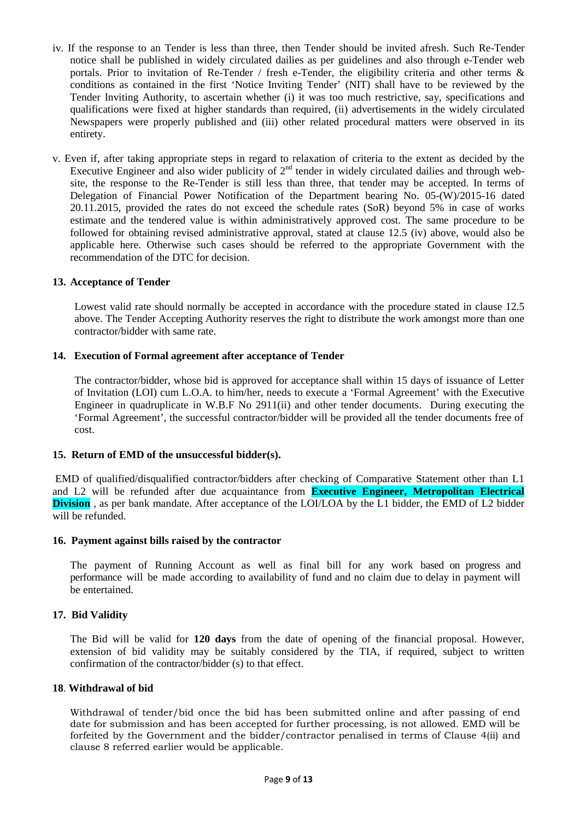- iv. If the response to an Tender is less than three, then Tender should be invited afresh. Such Re-Tender notice shall be published in widely circulated dailies as per guidelines and also through e-Tender web portals. Prior to invitation of Re-Tender / fresh e-Tender, the eligibility criteria and other terms & conditions as contained in the first 'Notice Inviting Tender' (NIT) shall have to be reviewed by the Tender Inviting Authority, to ascertain whether (i) it was too much restrictive, say, specifications and qualifications were fixed at higher standards than required, (ii) advertisements in the widely circulated Newspapers were properly published and (iii) other related procedural matters were observed in its entirety.
- v. Even if, after taking appropriate steps in regard to relaxation of criteria to the extent as decided by the Executive Engineer and also wider publicity of  $2<sup>nd</sup>$  tender in widely circulated dailies and through website, the response to the Re-Tender is still less than three, that tender may be accepted. In terms of Delegation of Financial Power Notification of the Department bearing No. 05-(W)/2015-16 dated 20.11.2015, provided the rates do not exceed the schedule rates (SoR) beyond 5% in case of works estimate and the tendered value is within administratively approved cost. The same procedure to be followed for obtaining revised administrative approval, stated at clause 12.5 (iv) above, would also be applicable here. Otherwise such cases should be referred to the appropriate Government with the recommendation of the DTC for decision.

#### **13. Acceptance of Tender**

Lowest valid rate should normally be accepted in accordance with the procedure stated in clause 12.5 above. The Tender Accepting Authority reserves the right to distribute the work amongst more than one contractor/bidder with same rate.

#### **14. Execution of Formal agreement after acceptance of Tender**

The contractor/bidder, whose bid is approved for acceptance shall within 15 days of issuance of Letter of Invitation (LOI) cum L.O.A. to him/her, needs to execute a 'Formal Agreement' with the Executive Engineer in quadruplicate in W.B.F No 2911(ii) and other tender documents. During executing the 'Formal Agreement', the successful contractor/bidder will be provided all the tender documents free of cost.

#### **15. Return of EMD of the unsuccessful bidder(s).**

EMD of qualified/disqualified contractor/bidders after checking of Comparative Statement other than L1 and L2 will be refunded after due acquaintance from **Executive Engineer, Metropolitan Electrical Division**, as per bank mandate. After acceptance of the LOI/LOA by the L1 bidder, the EMD of L2 bidder will be refunded.

#### **16. Payment against bills raised by the contractor**

The payment of Running Account as well as final bill for any work based on progress and performance will be made according to availability of fund and no claim due to delay in payment will be entertained.

#### **17. Bid Validity**

The Bid will be valid for **120 days** from the date of opening of the financial proposal. However, extension of bid validity may be suitably considered by the TIA, if required, subject to written confirmation of the contractor/bidder (s) to that effect.

#### **18**. **Withdrawal of bid**

Withdrawal of tender/bid once the bid has been submitted online and after passing of end date for submission and has been accepted for further processing, is not allowed. EMD will be forfeited by the Government and the bidder/contractor penalised in terms of Clause 4(ii) and clause 8 referred earlier would be applicable.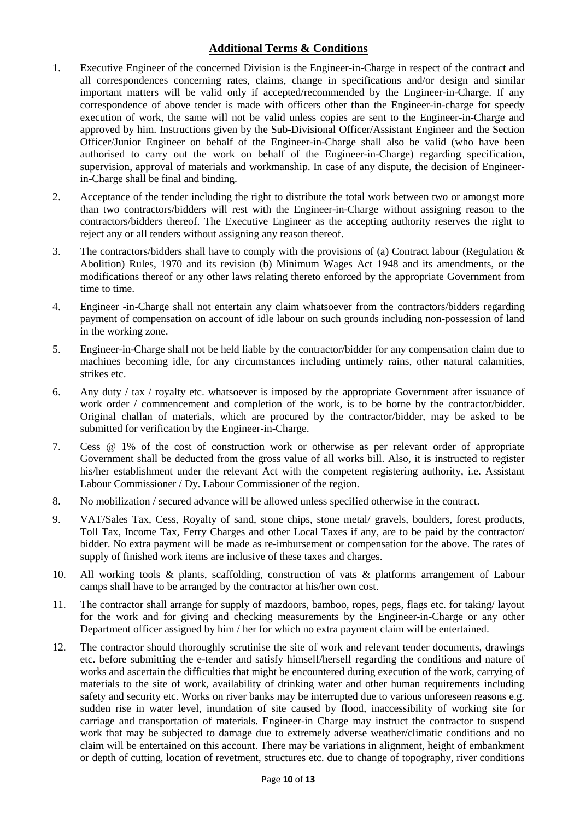## **Additional Terms & Conditions**

- 1. Executive Engineer of the concerned Division is the Engineer-in-Charge in respect of the contract and all correspondences concerning rates, claims, change in specifications and/or design and similar important matters will be valid only if accepted/recommended by the Engineer-in-Charge. If any correspondence of above tender is made with officers other than the Engineer-in-charge for speedy execution of work, the same will not be valid unless copies are sent to the Engineer-in-Charge and approved by him. Instructions given by the Sub-Divisional Officer/Assistant Engineer and the Section Officer/Junior Engineer on behalf of the Engineer-in-Charge shall also be valid (who have been authorised to carry out the work on behalf of the Engineer-in-Charge) regarding specification, supervision, approval of materials and workmanship. In case of any dispute, the decision of Engineerin-Charge shall be final and binding.
- 2. Acceptance of the tender including the right to distribute the total work between two or amongst more than two contractors/bidders will rest with the Engineer-in-Charge without assigning reason to the contractors/bidders thereof. The Executive Engineer as the accepting authority reserves the right to reject any or all tenders without assigning any reason thereof.
- 3. The contractors/bidders shall have to comply with the provisions of (a) Contract labour (Regulation & Abolition) Rules, 1970 and its revision (b) Minimum Wages Act 1948 and its amendments, or the modifications thereof or any other laws relating thereto enforced by the appropriate Government from time to time.
- 4. Engineer -in-Charge shall not entertain any claim whatsoever from the contractors/bidders regarding payment of compensation on account of idle labour on such grounds including non-possession of land in the working zone.
- 5. Engineer-in-Charge shall not be held liable by the contractor/bidder for any compensation claim due to machines becoming idle, for any circumstances including untimely rains, other natural calamities, strikes etc.
- 6. Any duty / tax / royalty etc. whatsoever is imposed by the appropriate Government after issuance of work order / commencement and completion of the work, is to be borne by the contractor/bidder. Original challan of materials, which are procured by the contractor/bidder, may be asked to be submitted for verification by the Engineer-in-Charge.
- 7. Cess @ 1% of the cost of construction work or otherwise as per relevant order of appropriate Government shall be deducted from the gross value of all works bill. Also, it is instructed to register his/her establishment under the relevant Act with the competent registering authority, i.e. Assistant Labour Commissioner / Dy. Labour Commissioner of the region.
- 8. No mobilization / secured advance will be allowed unless specified otherwise in the contract.
- 9. VAT/Sales Tax, Cess, Royalty of sand, stone chips, stone metal/ gravels, boulders, forest products, Toll Tax, Income Tax, Ferry Charges and other Local Taxes if any, are to be paid by the contractor/ bidder. No extra payment will be made as re-imbursement or compensation for the above. The rates of supply of finished work items are inclusive of these taxes and charges.
- 10. All working tools & plants, scaffolding, construction of vats & platforms arrangement of Labour camps shall have to be arranged by the contractor at his/her own cost.
- 11. The contractor shall arrange for supply of mazdoors, bamboo, ropes, pegs, flags etc. for taking/ layout for the work and for giving and checking measurements by the Engineer-in-Charge or any other Department officer assigned by him / her for which no extra payment claim will be entertained.
- 12. The contractor should thoroughly scrutinise the site of work and relevant tender documents, drawings etc. before submitting the e-tender and satisfy himself/herself regarding the conditions and nature of works and ascertain the difficulties that might be encountered during execution of the work, carrying of materials to the site of work, availability of drinking water and other human requirements including safety and security etc. Works on river banks may be interrupted due to various unforeseen reasons e.g. sudden rise in water level, inundation of site caused by flood, inaccessibility of working site for carriage and transportation of materials. Engineer-in Charge may instruct the contractor to suspend work that may be subjected to damage due to extremely adverse weather/climatic conditions and no claim will be entertained on this account. There may be variations in alignment, height of embankment or depth of cutting, location of revetment, structures etc. due to change of topography, river conditions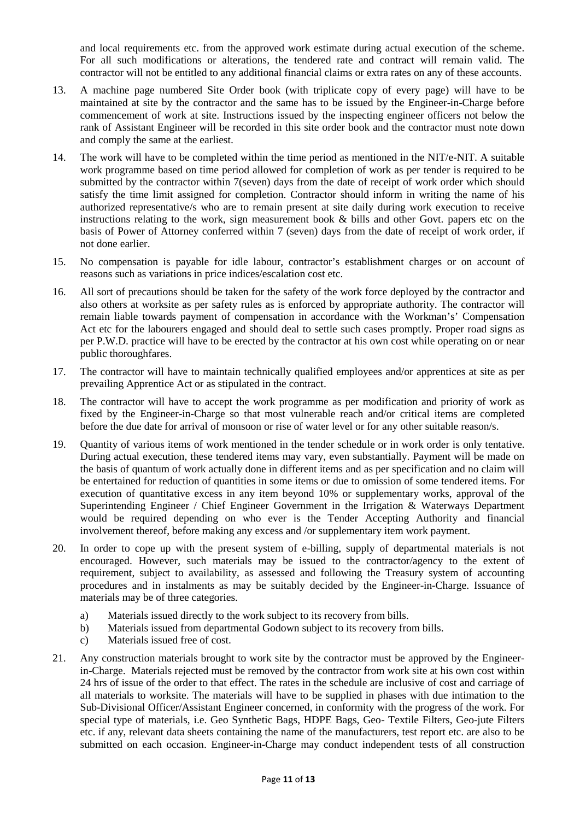and local requirements etc. from the approved work estimate during actual execution of the scheme. For all such modifications or alterations, the tendered rate and contract will remain valid. The contractor will not be entitled to any additional financial claims or extra rates on any of these accounts.

- 13. A machine page numbered Site Order book (with triplicate copy of every page) will have to be maintained at site by the contractor and the same has to be issued by the Engineer-in-Charge before commencement of work at site. Instructions issued by the inspecting engineer officers not below the rank of Assistant Engineer will be recorded in this site order book and the contractor must note down and comply the same at the earliest.
- 14. The work will have to be completed within the time period as mentioned in the NIT/e-NIT. A suitable work programme based on time period allowed for completion of work as per tender is required to be submitted by the contractor within 7(seven) days from the date of receipt of work order which should satisfy the time limit assigned for completion. Contractor should inform in writing the name of his authorized representative/s who are to remain present at site daily during work execution to receive instructions relating to the work, sign measurement book  $\&$  bills and other Govt. papers etc on the basis of Power of Attorney conferred within 7 (seven) days from the date of receipt of work order, if not done earlier.
- 15. No compensation is payable for idle labour, contractor's establishment charges or on account of reasons such as variations in price indices/escalation cost etc.
- 16. All sort of precautions should be taken for the safety of the work force deployed by the contractor and also others at worksite as per safety rules as is enforced by appropriate authority. The contractor will remain liable towards payment of compensation in accordance with the Workman's' Compensation Act etc for the labourers engaged and should deal to settle such cases promptly. Proper road signs as per P.W.D. practice will have to be erected by the contractor at his own cost while operating on or near public thoroughfares.
- 17. The contractor will have to maintain technically qualified employees and/or apprentices at site as per prevailing Apprentice Act or as stipulated in the contract.
- 18. The contractor will have to accept the work programme as per modification and priority of work as fixed by the Engineer-in-Charge so that most vulnerable reach and/or critical items are completed before the due date for arrival of monsoon or rise of water level or for any other suitable reason/s.
- 19. Quantity of various items of work mentioned in the tender schedule or in work order is only tentative. During actual execution, these tendered items may vary, even substantially. Payment will be made on the basis of quantum of work actually done in different items and as per specification and no claim will be entertained for reduction of quantities in some items or due to omission of some tendered items. For execution of quantitative excess in any item beyond 10% or supplementary works, approval of the Superintending Engineer / Chief Engineer Government in the Irrigation & Waterways Department would be required depending on who ever is the Tender Accepting Authority and financial involvement thereof, before making any excess and /or supplementary item work payment.
- 20. In order to cope up with the present system of e-billing, supply of departmental materials is not encouraged. However, such materials may be issued to the contractor/agency to the extent of requirement, subject to availability, as assessed and following the Treasury system of accounting procedures and in instalments as may be suitably decided by the Engineer-in-Charge. Issuance of materials may be of three categories.
	- a) Materials issued directly to the work subject to its recovery from bills.
	- b) Materials issued from departmental Godown subject to its recovery from bills.
	- c) Materials issued free of cost.
- 21. Any construction materials brought to work site by the contractor must be approved by the Engineerin-Charge. Materials rejected must be removed by the contractor from work site at his own cost within 24 hrs of issue of the order to that effect. The rates in the schedule are inclusive of cost and carriage of all materials to worksite. The materials will have to be supplied in phases with due intimation to the Sub-Divisional Officer/Assistant Engineer concerned, in conformity with the progress of the work. For special type of materials, i.e. Geo Synthetic Bags, HDPE Bags, Geo- Textile Filters, Geo-jute Filters etc. if any, relevant data sheets containing the name of the manufacturers, test report etc. are also to be submitted on each occasion. Engineer-in-Charge may conduct independent tests of all construction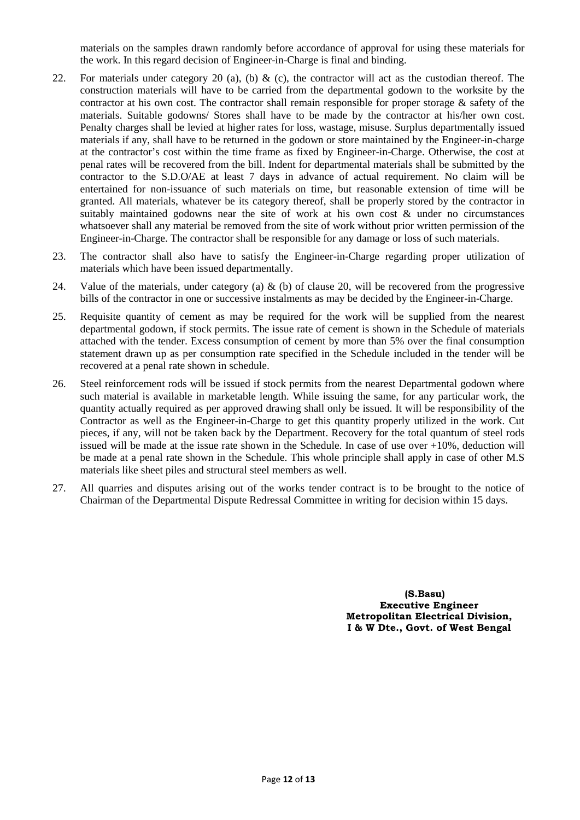materials on the samples drawn randomly before accordance of approval for using these materials for the work. In this regard decision of Engineer-in-Charge is final and binding.

- 22. For materials under category 20 (a), (b)  $\&$  (c), the contractor will act as the custodian thereof. The construction materials will have to be carried from the departmental godown to the worksite by the contractor at his own cost. The contractor shall remain responsible for proper storage & safety of the materials. Suitable godowns/ Stores shall have to be made by the contractor at his/her own cost. Penalty charges shall be levied at higher rates for loss, wastage, misuse. Surplus departmentally issued materials if any, shall have to be returned in the godown or store maintained by the Engineer-in-charge at the contractor's cost within the time frame as fixed by Engineer-in-Charge. Otherwise, the cost at penal rates will be recovered from the bill. Indent for departmental materials shall be submitted by the contractor to the S.D.O/AE at least 7 days in advance of actual requirement. No claim will be entertained for non-issuance of such materials on time, but reasonable extension of time will be granted. All materials, whatever be its category thereof, shall be properly stored by the contractor in suitably maintained godowns near the site of work at his own cost & under no circumstances whatsoever shall any material be removed from the site of work without prior written permission of the Engineer-in-Charge. The contractor shall be responsible for any damage or loss of such materials.
- 23. The contractor shall also have to satisfy the Engineer-in-Charge regarding proper utilization of materials which have been issued departmentally.
- 24. Value of the materials, under category (a)  $\&$  (b) of clause 20, will be recovered from the progressive bills of the contractor in one or successive instalments as may be decided by the Engineer-in-Charge.
- 25. Requisite quantity of cement as may be required for the work will be supplied from the nearest departmental godown, if stock permits. The issue rate of cement is shown in the Schedule of materials attached with the tender. Excess consumption of cement by more than 5% over the final consumption statement drawn up as per consumption rate specified in the Schedule included in the tender will be recovered at a penal rate shown in schedule.
- 26. Steel reinforcement rods will be issued if stock permits from the nearest Departmental godown where such material is available in marketable length. While issuing the same, for any particular work, the quantity actually required as per approved drawing shall only be issued. It will be responsibility of the Contractor as well as the Engineer-in-Charge to get this quantity properly utilized in the work. Cut pieces, if any, will not be taken back by the Department. Recovery for the total quantum of steel rods issued will be made at the issue rate shown in the Schedule. In case of use over +10%, deduction will be made at a penal rate shown in the Schedule. This whole principle shall apply in case of other M.S materials like sheet piles and structural steel members as well.
- 27. All quarries and disputes arising out of the works tender contract is to be brought to the notice of Chairman of the Departmental Dispute Redressal Committee in writing for decision within 15 days.

**(S.Basu) Executive Engineer Metropolitan Electrical Division, I & W Dte., Govt. of West Bengal**